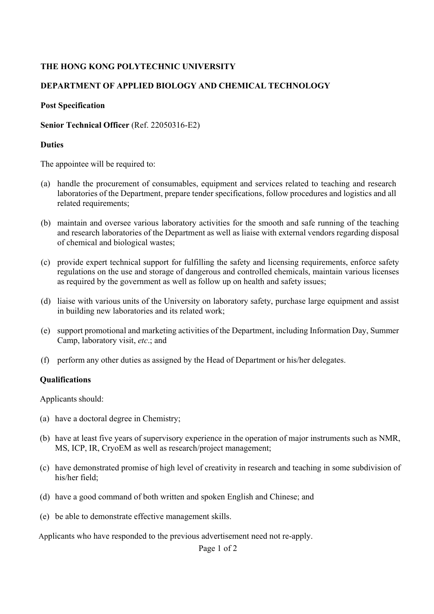# **THE HONG KONG POLYTECHNIC UNIVERSITY**

## **DEPARTMENT OF APPLIED BIOLOGY AND CHEMICAL TECHNOLOGY**

### **Post Specification**

### **Senior Technical Officer** (Ref. 22050316-E2)

### **Duties**

The appointee will be required to:

- (a) handle the procurement of consumables, equipment and services related to teaching and research laboratories of the Department, prepare tender specifications, follow procedures and logistics and all related requirements;
- (b) maintain and oversee various laboratory activities for the smooth and safe running of the teaching and research laboratories of the Department as well as liaise with external vendors regarding disposal of chemical and biological wastes;
- (c) provide expert technical support for fulfilling the safety and licensing requirements, enforce safety regulations on the use and storage of dangerous and controlled chemicals, maintain various licenses as required by the government as well as follow up on health and safety issues;
- (d) liaise with various units of the University on laboratory safety, purchase large equipment and assist in building new laboratories and its related work;
- (e) support promotional and marketing activities of the Department, including Information Day, Summer Camp, laboratory visit, *etc*.; and
- (f) perform any other duties as assigned by the Head of Department or his/her delegates.

## **Qualifications**

Applicants should:

- (a) have a doctoral degree in Chemistry;
- (b) have at least five years of supervisory experience in the operation of major instruments such as NMR, MS, ICP, IR, CryoEM as well as research/project management;
- (c) have demonstrated promise of high level of creativity in research and teaching in some subdivision of his/her field;
- (d) have a good command of both written and spoken English and Chinese; and
- (e) be able to demonstrate effective management skills.

Applicants who have responded to the previous advertisement need not re-apply.

Page 1 of 2